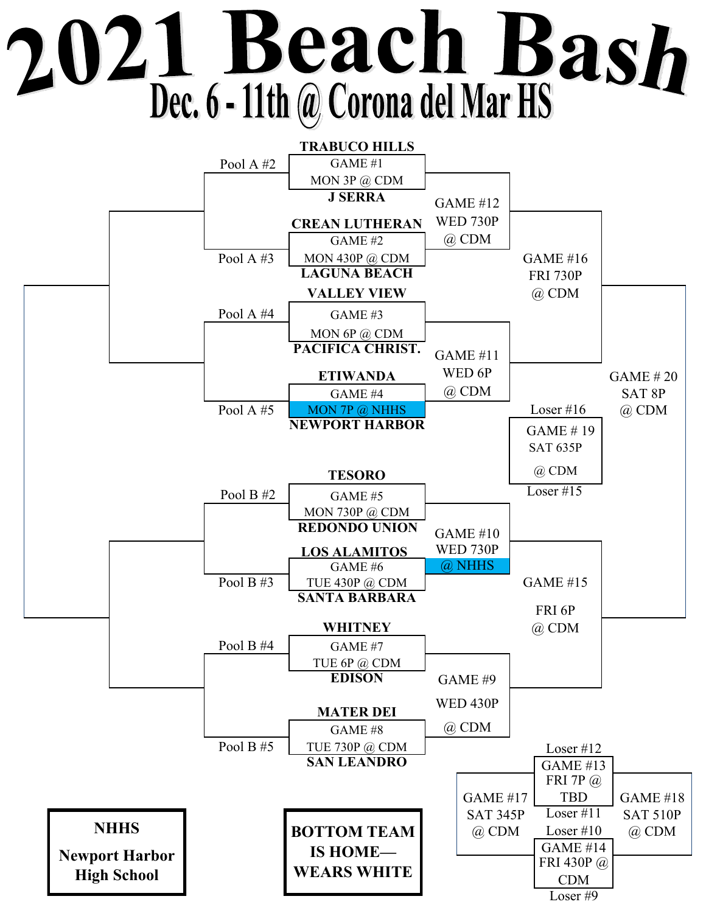## **2021 Beach Bash**<br>Dec. 6 - 11th @ Corona del Mar HS